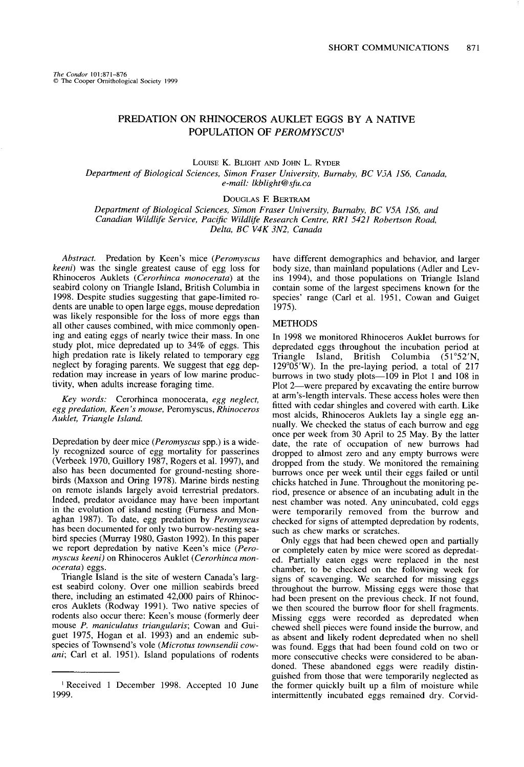# **PREDATION ON RHINOCEROS AUKLET EGGS BY A NATIVE POPULATION OF PEROMYSCUS'**

**LOUISE K. BLIGHT AND JOHN L. RYDER** 

**Department of Biological Sciences, Simon Fraser University, Burnaby, BC VjA I%, Canada, e-mail: lkbZight@sfu.ca** 

**DOUGLAS E BERTRAM** 

**Department of Biological Sciences, Simon Fraser University, Burnaby, BC V5A lS6, and**  Canadian Wildlife Service, Pacific Wildlife Research Centre, RR1 5421 Robertson Road, **Delta, BC V4K 3N2, Canada** 

**Abstract. Predation by Keen's mice (Peromyscus keeni) was the single greatest cause of egg loss for Rhinoceros Auklets (Cerorhinca monocerata) at the seabird colony on Triangle Island, British Columbia in 1998. Despite studies suggesting that gape-limited rodents are unable to open large eggs, mouse depredation was likely responsible for the loss of more eggs than all other causes combined, with mice commonly opening and eating eggs of nearly twice their mass. In one study plot, mice depredated up to 34% of eggs. This high predation rate is likely related to temporary egg neglect by foraging parents. We suggest that egg depredation may increase in years of low marine productivity, when adults increase foraging time.** 

**Key words: Cerorhinca monocerata, egg neglect,**   $e$ gg predation, Keen's mouse, Peromyscus, Rhinoceros **Auklet, Triangle Island.** 

**Depredation by deer mice (Peromyscus spp.) is a widely recognized source of egg mortality for passerines (Verbeek 1970, Guillory 1987, Rogers et al. 1997), and also has been documented for ground-nesting shorebirds (Maxson and Oring 1978). Marine birds nesting on remote islands largely avoid terrestrial predators. Indeed, predator avoidance may have been important in the evolution of island nesting (Fumess and Monaghan 1987). To date, egg predation by Peromyscus has been documented for only two burrow-nesting seabird species (Murray 1980, Gaston 1992). In this paper we report depredation by native Keen's mice (Peromyscus keeni) on Rhinoceros Auklet (Cerorhinca monoceratu) eggs.** 

**Triangle Island is the site of western Canada's largest seabird colony. Over one million seabirds breed there, including an estimated 42,000 pairs of Rhinoceros Auklets (Rodway 1991). Two native species of rodents also occur there: Keen's mouse (formerly deer mouse P. maniculatus triangularis; Cowan and Guiguet 1975, Hogan et al. 1993) and an endemic subspecies of Townsend's vole (Microtus townsendii cowani; Carl et al. 1951). Island populations of rodents**  **have different demographics and behavior, and larger body size, than mainland populations (Adler and Levins 1994), and those populations on Triangle Island contain some of the largest specimens known for the**  species' range (Carl et al. 1951, Cowan and Guiget **1975**).

## **METHODS**

**In 1998 we monitored Rhinoceros Auklet burrows for depredated eggs throughout the incubation period at Triangle Island, British Columbia (51"52'N, 129"05'W). In the pre-laying period, a total of 217 burrows in two study plots-109 in Plot 1 and 108 in**  Plot 2—were prepared by excavating the entire burrow **at arm's-length intervals. These access holes were then fitted with cedar shingles and covered with earth. Like most alcids, Rhinoceros Auklets lay a single egg annually. We checked the status of each burrow and egg once per week from 30 April to 25 May. By the latter date, the rate of occupation of new burrows had dropped to almost zero and any empty burrows were dropped from the study. We monitored the remaining burrows once per week until their eggs failed or until chicks hatched in June. Throughout the monitoring period, presence or absence of an incubating adult in the nest chamber was noted. Any unincubated, cold eggs were temporarily removed from the burrow and checked for signs of attempted depredation by rodents, such as chew marks or scratches.** 

**Only eggs that had been chewed open and partially or completely eaten by mice were scored as depredated. Partially eaten eggs were replaced in the nest chamber, to be checked on the following week for signs of scavenging. We searched for missing eggs throughout the burrow. Missing eggs were those that had been present on the previous check. If not found, we then scoured the burrow floor for shell fragments. Missing eggs were recorded as depredated when chewed shell pieces were found inside the burrow, and as absent and likely rodent depredated when no shell was found. Eggs that had been found cold on two or more consecutive checks were considered to be abandoned. These abandoned eggs were readily distinguished from those that were temporarily neglected as the former quickly built up a film of moisture while intermittently incubated eggs remained dry. Corvid-** 

**I Received 1 December 1998. Accepted 10 June 1999.**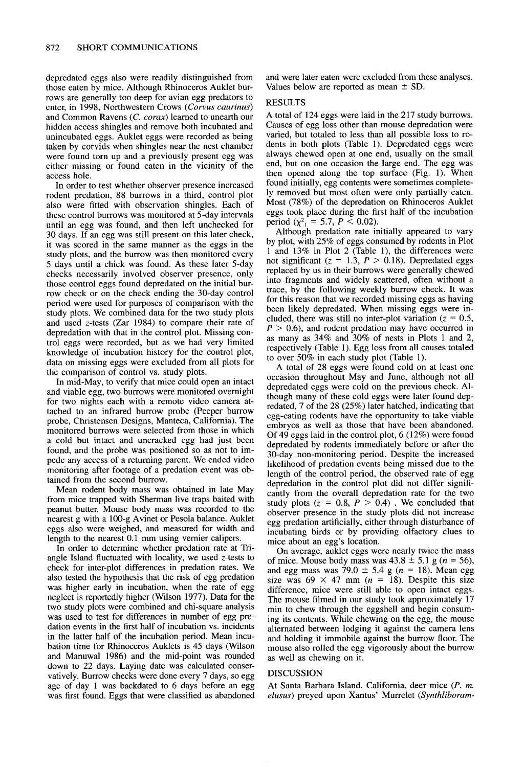**depredated eggs also were readily distinguished from those eaten by mice. Although Rhinoceros Auklet burrows are generally too deep for avian egg predators to enter, in 1998, Northwestern Crows (Corvus caurinus) and Common Ravens (C. corax) learned to unearth our hidden access shingles and remove both incubated and unincubated eggs. Auklet eggs were recorded as being taken by corvids when shingles near the nest chamber were found torn up and a previously present egg was either missing or found eaten in the vicinity of the access hole.** 

**In order to test whether observer presence increased rodent predation, 88 burrows in a third, control plot also were fitted with observation shingles. Each of**  these control burrows was monitored at 5-day intervals **until an egg was found, and then left unchecked for 30 days. If an egg was still present on this later check, it was scored in the same manner as the eggs in the study plots, and the burrow was then monitored every 5 days until a chick was found. As these later 5-day checks necessarily involved observer presence, only those control eggs found depredated on the initial burrow check or on the check ending the 30-day control period were used for purposes of comparison with the study plots. We combined data for the two study plots and used z-tests (Zar 1984) to compare their rate of depredation with that in the control plot. Missing control eggs were recorded, but as we had very limited knowledge of incubation history for the control plot, data on missing eggs were excluded from all plots for the comparison of control vs. study plots.** 

**In mid-May, to verify that mice could open an intact and viable egg, two burrows were monitored overnight for two nights each with a remote video camera attached to an infrared burrow probe (Peeper burrow orobe. Christensen Designs. Manteca, California). The monitored burrows were selected from those in which**  a cold but intact and uncracked egg had just been **found, and the probe was positioned so as not to impede any access of a returning parent. We ended video monitoring after footage of a predation event was obtained from the second burrow.** 

**Mean rodent body mass was obtained in late May from mice trapped with Sherman live traps baited with peanut butter. Mouse body mass was recorded to the nearest g with a 100-g Avinet or Pesola balance. Auklet eggs also were weighed, and measured for width and length to the nearest 0.1 mm using vernier calipers.** 

**In order to determine whether predation rate at Triangle Island fluctuated with locality, we used z-tests to check for inter-plot differences in predation rates. We also tested the hypothesis that the risk of egg predation was higher early in incubation, when the rate of egg neglect is reportedly higher (Wilson 1977). Data for the two study plots were combined and chi-square analysis was used to test for differences in number of egg predation events in the first half of incubation vs. incidents in the latter half of the incubation period. Mean incubation time for Rhinoceros Auklets is 45 days (Wilson and Manuwal 1986) and the mid-point was rounded down to 22 days. Laying date was calculated conservatively. Burrow checks were done every 7 days, so egg age of day 1 was backdated to 6 days before an egg was first found. Eggs that were classified as abandoned** 

**and were later eaten were excluded from these analyses.**  Values below are reported as mean  $\pm$  SD.

### **RESULTS**

**A total of 124 eggs were laid in the 217 study burrows. Causes of egg loss other than mouse depredation were varied, but totaled to less than all possible loss to rodents in both plots (Table 1). Depredated eggs were always chewed open at one end, usually on the small end, but on one occasion the large end. The egg was then opened along the top surface (Fig. 1). When found initially, egg contents were sometimes completely removed but most often were only partially eaten. Most (78%) of the depredation on Rhinoceros Auklet eggs took place during the first half of the incubation period** ( $\chi^2 = 5.7$ ,  $P \le 0.02$ ).

**Although predation rate initially appeared to vary**  by plot, with 25% of eggs consumed by rodents in Plot **1 and 13% in Plot 2 (Table 1). the differences were**  not significant ( $z = 1.3$ ,  $P > 0.18$ ). Depredated eggs **replaced by us in their burrows were generally chewed into fragments and widely scattered, often without a trace, by the following weekly burrow check. It was for this reason that we recorded missing eggs as having been likely depredated. When missing eggs were in**cluded, there was still no inter-plot variation ( $z = 0.5$ , **P > 0.6), and rodent predation may have occurred in as many as 34% and 30% of nests in Plots 1 and 2, respectively (Table 1). Egg loss from all causes totaled to over 50% in each study plot (Table 1).** 

**A total of 28 eggs were found cold on at least one occasion throughout May and June, although not all depredated eggs were cold on the previous check. Although many of these cold eggs were later found depredated, 7 of the 28 (25%) later hatched, indicating that egg-eating rodents have the opportunity to take viable embryos as well as those that have been abandoned. Of 49 eggs laid in the control plot, 6 (12%) were found depredated by rodents immediately before or after the 30-day non-monitoring period. Despite the increased likelihood of predation events being missed due to the length of the control period, the observed rate of egg depredation in the control plot did not differ significantly from the overall depredation rate for the two**  study plots  $(z = 0.8, P > 0.4)$ . We concluded that **observer presence in the study plots did not increase egg predation artificially, either through disturbance of incubating birds or by providing olfactory clues to mice about an egg's location.** 

**On average, auklet eggs were nearly twice the mass**  of mice. Mouse body mass was  $43.8 \pm 5.1$  g ( $n = 56$ ), and egg mass was  $79.0 \pm 5.4$  g ( $n = 18$ ). Mean egg size was  $69 \times 47$  mm ( $n = 18$ ). Despite this size **difference, mice were still able to open intact eggs. The mouse filmed in our study took approximately 17 min to chew through the eggshell and begin consuming its contents. While chewing on the egg, the mouse alternated between lodging it against the camera lens and holding it immobile against the burrow floor. The mouse also rolled the egg vigorously about the burrow as well as chewing on it.** 

### **DISCUSSION**

**At Santa Barbara Island, California, deer mice (P. m.**   $elusus$ ) preyed upon Xantus' Murrelet (Synthliboram-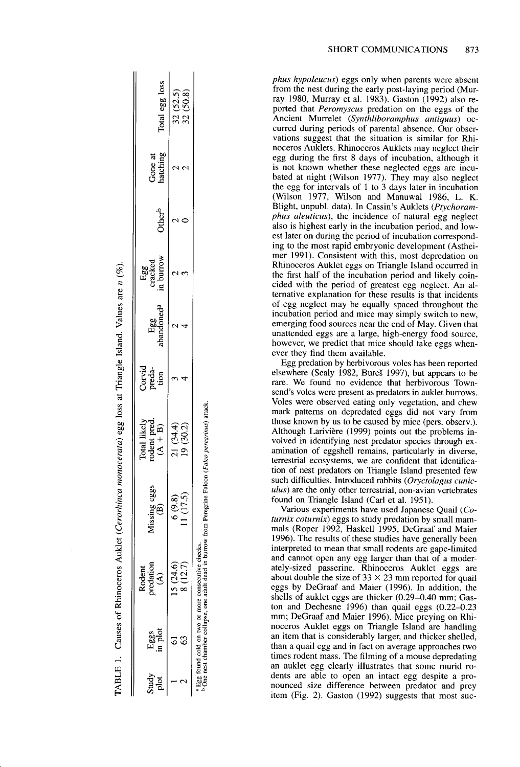|     | TABLE 1. Causes of Rhinoceros Auklet (Cerorhinca r                                                       |                                                               | monocerata) egg loss at Triangle Island. Values are $n$ (%). |                    |                               |                             |                    |                     |                      |
|-----|----------------------------------------------------------------------------------------------------------|---------------------------------------------------------------|--------------------------------------------------------------|--------------------|-------------------------------|-----------------------------|--------------------|---------------------|----------------------|
| 288 | redation<br>Rodent<br>$\widehat{A}$                                                                      | $M$ issing eggs $(B)$                                         | Total likely<br>rodent pred.<br>$(A + B)$                    | $Corvidpreda-tion$ | Egg<br>abandoned <sup>a</sup> | Egg<br>cracked<br>in burrow | Other <sup>b</sup> | Gone at<br>hatching | Total egg loss       |
|     | 15(24.6)<br>8(12.7)                                                                                      | (1(17.5)<br>(9.8)                                             | 21 (34.4)<br>19 (30.2)                                       |                    |                               |                             |                    |                     | 32(50.8)<br>32(52.5) |
|     | Egg found cold on two or more consecutive checks.<br>One nest chamber collapse, one adult dead in burrow | urrow from Peregrine Falcon ( <i>Falco peregraus</i> ) attack |                                                              |                    |                               |                             |                    |                     |                      |

**phus hypoleucus) eggs only when parents were absent from the nest during the early post-laying period (Murray 1980, Murray et al. 1983). Gaston (1992) also reported that Peromyscus predation on the eggs of the**  Ancient Murrelet (Synthliboramphus antiquus) oc**curred during periods of parental absence. Our observations suggest that the situation is similar for Rhinoceros Auklets. Rhinoceros Auklets may neglect their egg during the first 8 days of incubation, although it is not known whether these neglected eggs are incubated at night (Wilson 1977). They may also neglect the egg for intervals of 1 to 3 days later in incubation (Wilson 1977, Wilson and Manuwal 1986, L. K.**  Blight, unpubl. data). In Cassin's Auklets (Ptychoram**phus aleuticus), the incidence of natural egg neglect also is highest early in the incubation period, and lowest later on during the period of incubation corresponding to the most rapid embryonic development (Astheimer 1991). Consistent with this, most depredation on Rhinoceros Auklet eggs on Triangle Island occurred in the first half of the incubation period and likely coincided with the period of greatest egg neglect. An alternative explanation for these results is that incidents of egg neglect may be equally spaced throughout the incubation period and mice may simply switch to new, emerging food sources near the end of May. Given that unattended eggs are a large, high-energy food source, however, we predict that mice should take eggs whenever they find them available.** 

**Egg predation by herbivorous voles has been reported elsewhere (Sealy 1982, BureS 1997), but appears to be rare. We found no evidence that herbivorous Townsend's voles were present as predators in auklet burrows. Voles were observed eating only vegetation, and chew mark patterns on depredated eggs did not vary from those known by us to be caused by mice (pers. observ.). Although Lariviere (1999) points out the problems involved in identifying nest predator species through examination of eggshell remains, particularly in diverse, terrestrial ecosystems, we are confident that identification of nest predators on Triangle Island presented few**  such difficulties. Introduced rabbits *(Oryctolagus cunic***ulus) are the only other terrestrial, non-avian vertebrates found on Triangle Island (Carl et al. 1951).** 

**Various experiments have used Japanese Quail (Coturnix coturnix) eggs to study predation by small mammals (Roper 1992, Haskell 1995, DeGraaf and Maier 1996). The results of these studies have generally been interpreted to mean that small rodents are gape-limited and cannot open any egg larger than that of a moderately-sized passerine. Rhinoceros Auklet eggs are**  about double the size of  $33 \times 23$  mm reported for quail **eggs by DeGraaf and Maier (1996). In addition, the shells of auklet eggs are thicker (0.29-0.40 mm; Gaston and Dechesne 1996) than quail eggs (0.22-0.23 mm; DeGraaf and Maier 1996). Mice preying on Rhinoceros Auklet eggs on Triangle Island are handling an item that is considerably larger, and thicker shelled, than a quail egg and in fact on average approaches two times rodent mass. The filming of a mouse depredating an auklet egg clearly illustrates that some murid rodents are able to open an intact egg despite a pronounced size difference between predator and prey item (Fig. 2). Gaston (1992) suggests that most suc-**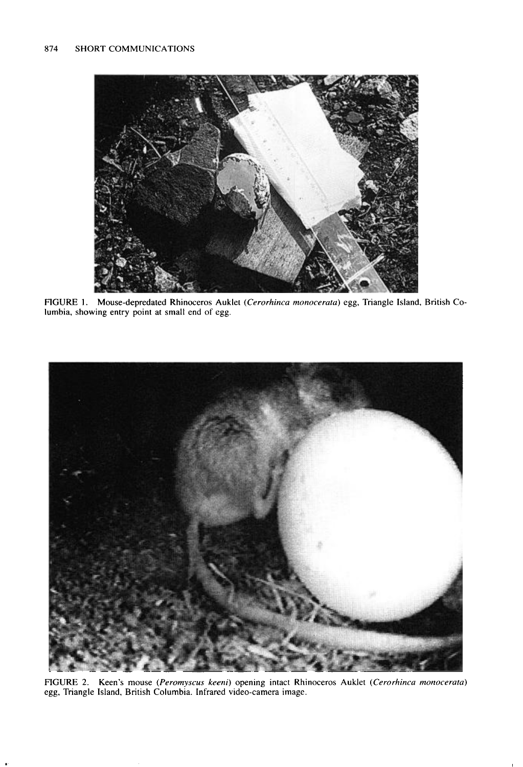

**FIGURE I. Mouse-depredated Rhinoceros Auklet (Cerorhinca monocerara) egg, Triangle Island, British Columbia, showing entry point at small end of egg.** 



**FIGURE 2. Keen's mouse (Peromyscus keeni) opening intact Rhinoceros Auklet (Cerorhinca monocerata) egg, Triangle Island, British Columbia. Infrared video-camera image.**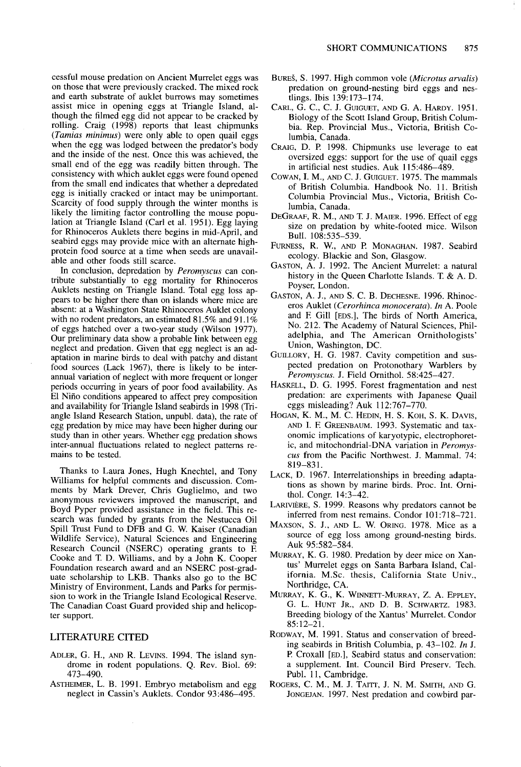cessful mouse predation on Ancient Murrelet eggs was **on those that were previously cracked. The mixed rock and earth substrate of auklet burrows may sometimes assist mice in opening eggs at Triangle Island, although the filmed egg did not appear to be cracked by rolling. Craig (1998) reports that least chipmunks (Tamias minimus) were only able to open quail eggs when the egg was lodged between the predator's body and the inside of the nest. Once this was achieved, the small end of the egg was readily bitten through. The consistency with which auklet eggs were found opened from the small end indicates that whether a depredated egg is initially cracked or intact may be unimportant. Scarcity of food supply through the winter months is likely the limiting factor controlling the mouse population at Triangle Island (Carl et al. 1951). Egg laying for Rhinoceros Auklets there begins in mid-April, and seabird eggs may provide mice with an alternate highprotein food source at a time when seeds are unavailable and other foods still scarce.** 

**In conclusion, depredation by Peromyscus can contribute substantially to egg mortality for Rhinoceros Auklets nesting on Triangle Island. Total egg loss appears to be higher there than on islands where mice are absent: at a Washington State Rhinoceros Auklet colony**  with no rodent predators, an estimated 81.5% and 91.1% **of eggs hatched over a two-year study (Wilson 1977). Our preliminary data show a probable link between egg neglect and predation. Given that egg neglect is an adaptation in marine birds to deal with patchy and distant food sources (Lack 1967), there is likely to be interannual variation of neglect with more frequent or longer periods occurring in years of poor food availability. As El Nifio conditions appeared to affect prey composition and availability for Triangle Island seabirds in 1998 (Triangle Island Research Station, unpubl. data), the rate of egg predation by mice may have been higher during our study than in other years. Whether egg predation shows inter-annual fluctuations related to neglect patterns remains to be tested.** 

**Thanks to Laura Jones, Hugh Knechtel, and Tony Williams for helpful comments and discussion. Comments by Mark Drever, Chris Guglielmo, and two anonymous reviewers improved the manuscript, and Boyd Pyper provided assistance in the field. This re**search was funded by grants from the Nestucca Oil Spill Trust Fund to DFB and G. W. Kaiser (Canadian Wildlife Service), Natural Sciences and Engineering **Research Council (NSERC) operating grants to E Cooke and T D. Williams, and by a John K. Cooper Foundation research award and an NSERC post-graduate scholarship to LKB. Thanks also go to the BC Ministry of Environment, Lands and Parks for permission to work in the Triangle Island Ecological Reserve. The Canadian Coast Guard provided ship and helicopter support.** 

- 
- 
- **BURES, S. 1997. High common vole (Microtus arvalis) predation on ground-nesting bird eggs and nestlings. Ibis 139:173-174.**
- **CARL, G. C., C. J. GUIGUET, AND G. A. HARDY. 195 1. Biologv of the Scott Island Grouo. British Colum**bia. Rep. Provincial Mus., Victoria, British Co**lumbia, Canada.**
- **CRAIG, D. P. 1998. Chipmunks use leverage to eat oversized eggs: support for the use of quail eggs in artificial nest studies. Auk 115:486-489.**
- **COWAN, I. M., AND C. J. GUIGUET. 1975. The mammals of British Columbia. Handbook No. 11. British Columbia Provincial Mus., Victoria, British Columbia, Canada.**
- **DEGRAAF, R. M., AND T. J. MAIER. 1996. Effect of egg size on predation by white-footed mice. Wilson Bull. 108:535-539.**
- **FURNESS, R. W., AND F? MONAGHAN. 1987. Seabird ecology. Blackie and Son, Glasgow.**
- **GASTON, A. J. 1992. The Ancient Murrelet: a natural history in the Queen Charlotte Islands. T & A. D. Poyser, London.**
- **GASTON, A. J., AND S. C. B. DECHESNE. 1996. Rhinoceros Auklet (Cerorhinca monoceruta). In A. Poole and E Gill [EDS.], The birds of North America, No. 212. The Academy of Natural Sciences, Philadelphia, and The American Ornithologists' Union, Washington, DC.**
- **GUILLORY, H. G. 1987. Cavity competition and suspected predation on Protonothary Warblers by Peromyscus. J. Field Ornithol. 58:425-427.**
- **HASKELL, D. G. 1995. Forest fragmentation and nest predation: are experiments with Japanese Quail eggs misleading? Auk 112:767-770.**
- **HOGAN, K. M., M. C. HEDIN, H. S. KOH, S. K. DAVIS, AND I. E GREENBAUM. 1993. Systematic and taxonomic implications of karyotypic, electrophoret**ic, and mitochondrial-DNA variation in **Peromyscus from the Pacific Northwest. J. Mammal. 74: 819-831.**
- **LACK, D. 1967. Interrelationships in breeding adaptations as shown by marine birds. Proc. Int. Ornithol. Congr. 14:3-42.**
- LARIVIÈRE, S. 1999. Reasons why predators cannot be **inferred from nest remains. Condor 101:718-721.**
- **MAXSON, S. J., AND L. W. ORING. 1978. Mice as a source of egg loss among ground-nesting birds. Auk 95:582-584.**
- **MURRAY, K. G. 1980. Predation by deer mice on Xantus' Murrelet eggs on Santa Barbara Island, California. M.Sc. thesis, California State Univ., Northridge, CA.**
- **MURRAY, K. G., K. WINNETT-MURRAY, Z. A. EPPLEY, G. L. HUNT JR., AND D. B. SCHWARTZ. 1983. Breeding biology of the Xantus' Murrelet. Condor 85:12-21.**
- **LITERATURE CITED RODWAY, M. 1991. Status and conservation of breed**ing seabirds in British Columbia, p. 43-102. In J. **ADLER, G. H., AND R. LEVINS. 1994. The island syn- P Croxall [ED.], Seabird status and conservation:**  drome in rodent populations. Q. Rev. Biol. 69: a supplement. Int. Council Bird Preserv. Tech. 473-490. Publ. 11, Cambridge.
- ASTHEIMER, L. B. 1991. Embryo metabolism and egg ROGERS, C. M., M. J. TAITT, J. N. M. SMITH, AND G. **neglect in Cassin's Auklets. Condor 93:486-495. JONGEJAN. 1997. Nest predation and cowbird par-**